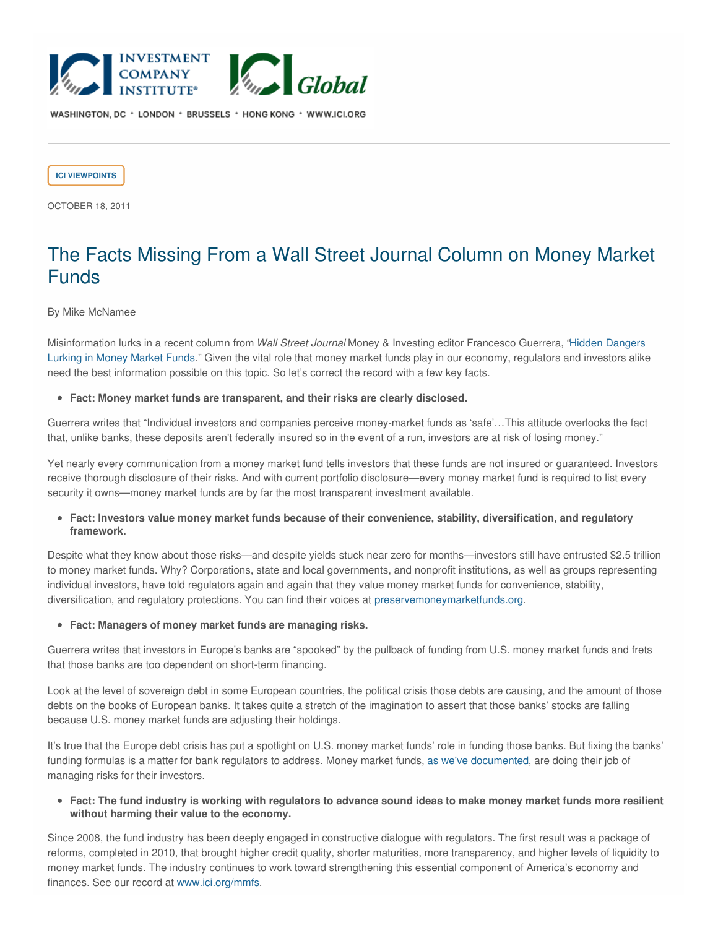

WASHINGTON, DC \* LONDON \* BRUSSELS \* HONG KONG \* WWW.ICI.ORG

**ICI [VIEWPOINTS](https://www.ici.org/taxonomy/term/121)**

OCTOBER 18, 2011

# The Facts Missing From a Wall Street Journal Column on Money Market Funds

### By Mike McNamee

[Misinformation](javascript:followLink() lurks in a recent column from *Wall Street Journal* Money & Investing editor Francesco Guerrera, "Hidden Dangers Lurking in Money Market Funds." Given the vital role that money market funds play in our economy, regulators and investors alike need the best information possible on this topic. So let's correct the record with a few key facts.

#### **Fact: Money market funds are transparent, and their risks are clearly disclosed.**

Guerrera writes that "Individual investors and companies perceive money-market funds as 'safe'…This attitude overlooks the fact that, unlike banks, these deposits aren't federally insured so in the event of a run, investors are at risk of losing money."

Yet nearly every communication from a money market fund tells investors that these funds are not insured or guaranteed. Investors receive thorough disclosure of their risks. And with current portfolio disclosure—every money market fund is required to list every security it owns—money market funds are by far the most transparent investment available.

# **Fact: Investors value money market funds because of their convenience, stability, diversification, and regulatory framework.**

Despite what they know about those risks—and despite yields stuck near zero for months—investors still have entrusted \$2.5 trillion to money market funds. Why? Corporations, state and local governments, and nonprofit institutions, as well as groups representing individual investors, have told regulators again and again that they value money market funds for convenience, stability, diversification, and regulatory protections. You can find their voices at [preservemoneymarketfunds.org](javascript:followLink().

**Fact: Managers of money market funds are managing risks.**

Guerrera writes that investors in Europe's banks are "spooked" by the pullback of funding from U.S. money market funds and frets that those banks are too dependent on short-term financing.

Look at the level of sovereign debt in some European countries, the political crisis those debts are causing, and the amount of those debts on the books of European banks. It takes quite a stretch of the imagination to assert that those banks' stocks are falling because U.S. money market funds are adjusting their holdings.

It's true that the Europe debt crisis has put a spotlight on U.S. money market funds' role in funding those banks. But fixing the banks' funding formulas is a matter for bank regulators to address. Money market funds, as we've [documented,](http://www.ici.org/viewpoints/view_11_mmfs_europe_chall) are doing their job of managing risks for their investors.

• Fact: The fund industry is working with regulators to advance sound ideas to make money market funds more resilient **without harming their value to the economy.**

Since 2008, the fund industry has been deeply engaged in constructive dialogue with regulators. The first result was a package of reforms, completed in 2010, that brought higher credit quality, shorter maturities, more transparency, and higher levels of liquidity to money market funds. The industry continues to work toward strengthening this essential component of America's economy and finances. See our record at [www.ici.org/mmfs](http://www.ici.org/mmfs).